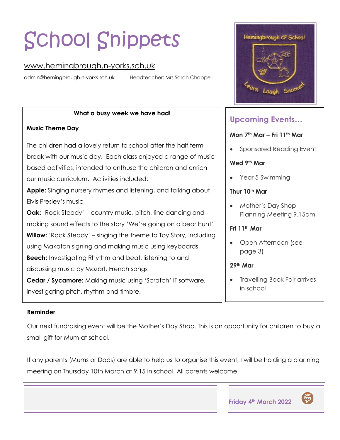# School Snippets

## [www.hemingbrough.n-yorks.sch.uk](http://www.hemingbrough.n-yorks.sch.uk/)

[admin@hemingbrough.n-yorks.sch.uk](mailto:admin@hemingbrough.n-yorks.sch.uk) Headteacher: Mrs Sarah Chappell

#### **What a busy week we have had!**

## **Music Theme Day**

The children had a lovely return to school after the half term break with our music day. Each class enjoyed a range of music based activities, intended to enthuse the children and enrich our music curriculum. Activities included:

**Apple:** Singing nursery rhymes and listening, and talking about Elvis Presley's music

**Oak:** 'Rock Steady' – country music, pitch, line dancing and making sound effects to the story 'We're going on a bear hunt' **Willow:** 'Rock Steady' – singing the theme to Toy Story, including using Makaton signing and making music using keyboards **Beech:** Investigating Rhythm and beat, listening to and discussing music by Mozart, French songs

**Cedar / Sycamore:** Making music using 'Scratch' IT software, investigating pitch, rhythm and timbre.



## **Upcoming Events…**

#### **Mon 7th Mar – Fri 11th Mar**

• Sponsored Reading Event

#### **Wed 9th Mar**

• Year 5 Swimming

## **Thur 10th Mar**

• Mother's Day Shop Planning Meeting 9.15am

## **Fri 11th Mar**

- Open Afternoon (see page 3)
- **29 th Mar**
- Travelling Book Fair arrives in school

## **Reminder**

Our next fundraising event will be the Mother's Day Shop. This is an opportunity for children to buy a small gift for Mum at school.

If any parents (Mums or Dads) are able to help us to organise this event, I will be holding a planning meeting on Thursday 10th March at 9.15 in school. All parents welcome!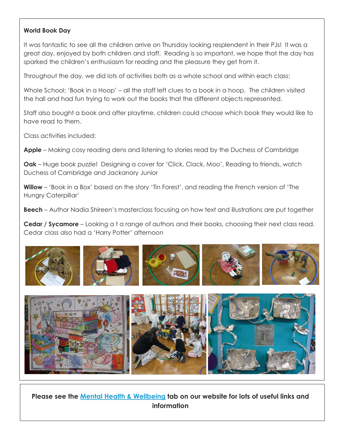#### **World Book Day**

It was fantastic to see all the children arrive on Thursday looking resplendent in their PJs! It was a great day, enjoyed by both children and staff. Reading is so important, we hope that the day has sparked the children's enthusiasm for reading and the pleasure they get from it.

Throughout the day, we did lots of activities both as a whole school and within each class:

Whole School: 'Book in a Hoop' – all the staff left clues to a book in a hoop. The children visited the hall and had fun trying to work out the books that the different objects represented.

Staff also bought a book and after playtime, children could choose which book they would like to have read to them.

Class activities included:

**Apple** – Making cosy reading dens and listening to stories read by the Duchess of Cambridge

**Oak** – Huge book puzzle! Designing a cover for 'Click, Clack, Moo', Reading to friends, watch Duchess of Cambridge and Jackanory Junior

**Willow** – 'Book in a Box' based on the story 'Tin Forest', and reading the French version of 'The Hungry Caterpillar'

**Beech** – Author Nadia Shireen's masterclass focusing on how text and illustrations are put together

**Cedar / Sycamore** – Looking a t a range of authors and their books, choosing their next class read. Cedar class also had a 'Harry Potter' afternoon





**Please see the [Mental Health & Wellbeing](https://hemingbrough.eschools.co.uk/website/mental_health__wellbeing/509819) tab on our website for lots of useful links and information**